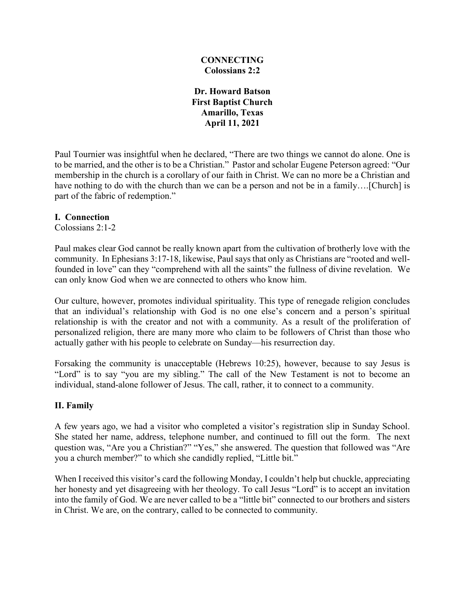#### **CONNECTING Colossians 2:2**

**Dr. Howard Batson First Baptist Church Amarillo, Texas April 11, 2021**

Paul Tournier was insightful when he declared, "There are two things we cannot do alone. One is to be married, and the other is to be a Christian." Pastor and scholar Eugene Peterson agreed: "Our membership in the church is a corollary of our faith in Christ. We can no more be a Christian and have nothing to do with the church than we can be a person and not be in a family....[Church] is part of the fabric of redemption."

#### **I. Connection**

Colossians 2:1-2

Paul makes clear God cannot be really known apart from the cultivation of brotherly love with the community. In Ephesians 3:17-18, likewise, Paul says that only as Christians are "rooted and wellfounded in love" can they "comprehend with all the saints" the fullness of divine revelation. We can only know God when we are connected to others who know him.

Our culture, however, promotes individual spirituality. This type of renegade religion concludes that an individual's relationship with God is no one else's concern and a person's spiritual relationship is with the creator and not with a community. As a result of the proliferation of personalized religion, there are many more who claim to be followers of Christ than those who actually gather with his people to celebrate on Sunday—his resurrection day.

Forsaking the community is unacceptable (Hebrews 10:25), however, because to say Jesus is "Lord" is to say "you are my sibling." The call of the New Testament is not to become an individual, stand-alone follower of Jesus. The call, rather, it to connect to a community.

### **II. Family**

A few years ago, we had a visitor who completed a visitor's registration slip in Sunday School. She stated her name, address, telephone number, and continued to fill out the form. The next question was, "Are you a Christian?" "Yes," she answered. The question that followed was "Are you a church member?" to which she candidly replied, "Little bit."

When I received this visitor's card the following Monday, I couldn't help but chuckle, appreciating her honesty and yet disagreeing with her theology. To call Jesus "Lord" is to accept an invitation into the family of God. We are never called to be a "little bit" connected to our brothers and sisters in Christ. We are, on the contrary, called to be connected to community.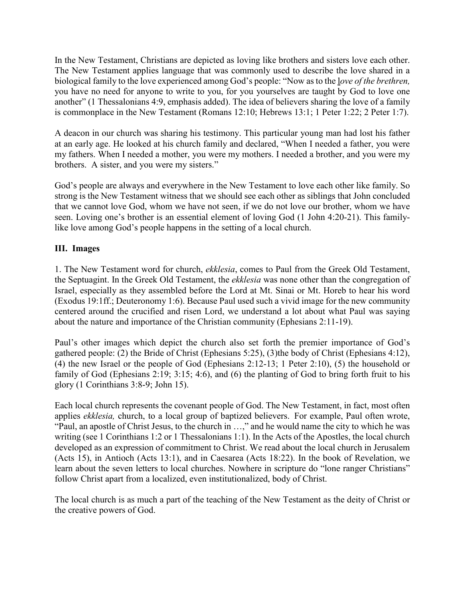In the New Testament, Christians are depicted as loving like brothers and sisters love each other. The New Testament applies language that was commonly used to describe the love shared in a biological family to the love experienced among God's people: "Now as to the l*ove of the brethren,* you have no need for anyone to write to you, for you yourselves are taught by God to love one another" (1 Thessalonians 4:9, emphasis added). The idea of believers sharing the love of a family is commonplace in the New Testament (Romans 12:10; Hebrews 13:1; 1 Peter 1:22; 2 Peter 1:7).

A deacon in our church was sharing his testimony. This particular young man had lost his father at an early age. He looked at his church family and declared, "When I needed a father, you were my fathers. When I needed a mother, you were my mothers. I needed a brother, and you were my brothers. A sister, and you were my sisters."

God's people are always and everywhere in the New Testament to love each other like family. So strong is the New Testament witness that we should see each other as siblings that John concluded that we cannot love God, whom we have not seen, if we do not love our brother, whom we have seen. Loving one's brother is an essential element of loving God (1 John 4:20-21). This familylike love among God's people happens in the setting of a local church.

## **III. Images**

1. The New Testament word for church, *ekklesia*, comes to Paul from the Greek Old Testament, the Septuagint. In the Greek Old Testament, the *ekklesia* was none other than the congregation of Israel, especially as they assembled before the Lord at Mt. Sinai or Mt. Horeb to hear his word (Exodus 19:1ff.; Deuteronomy 1:6). Because Paul used such a vivid image for the new community centered around the crucified and risen Lord, we understand a lot about what Paul was saying about the nature and importance of the Christian community (Ephesians 2:11-19).

Paul's other images which depict the church also set forth the premier importance of God's gathered people: (2) the Bride of Christ (Ephesians 5:25), (3)the body of Christ (Ephesians 4:12), (4) the new Israel or the people of God (Ephesians 2:12-13; 1 Peter 2:10), (5) the household or family of God (Ephesians 2:19; 3:15; 4:6), and (6) the planting of God to bring forth fruit to his glory (1 Corinthians 3:8-9; John 15).

Each local church represents the covenant people of God. The New Testament, in fact, most often applies *ekklesia,* church, to a local group of baptized believers. For example, Paul often wrote, "Paul, an apostle of Christ Jesus, to the church in …," and he would name the city to which he was writing (see 1 Corinthians 1:2 or 1 Thessalonians 1:1). In the Acts of the Apostles, the local church developed as an expression of commitment to Christ. We read about the local church in Jerusalem (Acts 15), in Antioch (Acts 13:1), and in Caesarea (Acts 18:22). In the book of Revelation, we learn about the seven letters to local churches. Nowhere in scripture do "lone ranger Christians" follow Christ apart from a localized, even institutionalized, body of Christ.

The local church is as much a part of the teaching of the New Testament as the deity of Christ or the creative powers of God.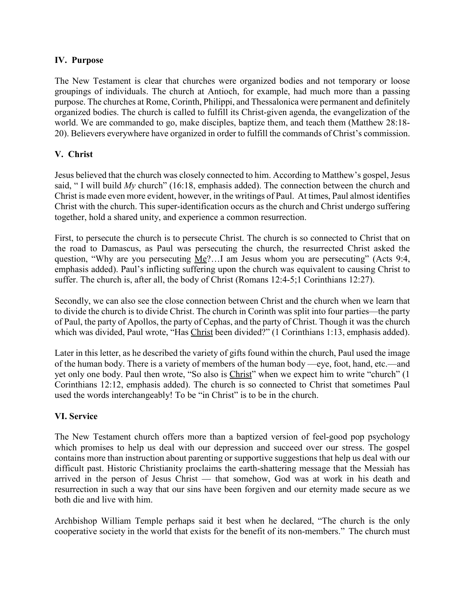#### **IV. Purpose**

The New Testament is clear that churches were organized bodies and not temporary or loose groupings of individuals. The church at Antioch, for example, had much more than a passing purpose. The churches at Rome, Corinth, Philippi, and Thessalonica were permanent and definitely organized bodies. The church is called to fulfill its Christ-given agenda, the evangelization of the world. We are commanded to go, make disciples, baptize them, and teach them (Matthew 28:18- 20). Believers everywhere have organized in order to fulfill the commands of Christ's commission.

### **V. Christ**

Jesus believed that the church was closely connected to him. According to Matthew's gospel, Jesus said, "I will build *My* church" (16:18, emphasis added). The connection between the church and Christ is made even more evident, however, in the writings of Paul. At times, Paul almost identifies Christ with the church. This super-identification occurs as the church and Christ undergo suffering together, hold a shared unity, and experience a common resurrection.

First, to persecute the church is to persecute Christ. The church is so connected to Christ that on the road to Damascus, as Paul was persecuting the church, the resurrected Christ asked the question, "Why are you persecuting  $Me$ ?...I am Jesus whom you are persecuting" (Acts 9:4, emphasis added). Paul's inflicting suffering upon the church was equivalent to causing Christ to suffer. The church is, after all, the body of Christ (Romans 12:4-5;1 Corinthians 12:27).

Secondly, we can also see the close connection between Christ and the church when we learn that to divide the church is to divide Christ. The church in Corinth was split into four parties—the party of Paul, the party of Apollos, the party of Cephas, and the party of Christ. Though it was the church which was divided, Paul wrote, "Has Christ been divided?" (1 Corinthians 1:13, emphasis added).

Later in this letter, as he described the variety of gifts found within the church, Paul used the image of the human body. There is a variety of members of the human body —eye, foot, hand, etc.—and yet only one body. Paul then wrote, "So also is Christ" when we expect him to write "church" (1 Corinthians 12:12, emphasis added). The church is so connected to Christ that sometimes Paul used the words interchangeably! To be "in Christ" is to be in the church.

### **VI. Service**

The New Testament church offers more than a baptized version of feel-good pop psychology which promises to help us deal with our depression and succeed over our stress. The gospel contains more than instruction about parenting or supportive suggestions that help us deal with our difficult past. Historic Christianity proclaims the earth-shattering message that the Messiah has arrived in the person of Jesus Christ — that somehow, God was at work in his death and resurrection in such a way that our sins have been forgiven and our eternity made secure as we both die and live with him.

Archbishop William Temple perhaps said it best when he declared, "The church is the only cooperative society in the world that exists for the benefit of its non-members." The church must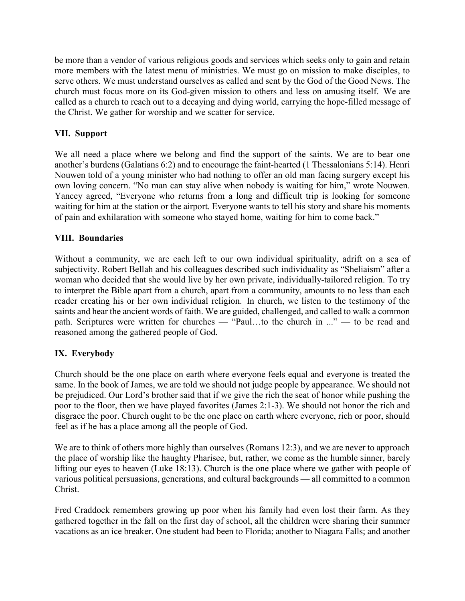be more than a vendor of various religious goods and services which seeks only to gain and retain more members with the latest menu of ministries. We must go on mission to make disciples, to serve others. We must understand ourselves as called and sent by the God of the Good News. The church must focus more on its God-given mission to others and less on amusing itself. We are called as a church to reach out to a decaying and dying world, carrying the hope-filled message of the Christ. We gather for worship and we scatter for service.

# **VII. Support**

We all need a place where we belong and find the support of the saints. We are to bear one another's burdens (Galatians 6:2) and to encourage the faint-hearted (1 Thessalonians 5:14). Henri Nouwen told of a young minister who had nothing to offer an old man facing surgery except his own loving concern. "No man can stay alive when nobody is waiting for him," wrote Nouwen. Yancey agreed, "Everyone who returns from a long and difficult trip is looking for someone waiting for him at the station or the airport. Everyone wants to tell his story and share his moments of pain and exhilaration with someone who stayed home, waiting for him to come back."

## **VIII. Boundaries**

Without a community, we are each left to our own individual spirituality, adrift on a sea of subjectivity. Robert Bellah and his colleagues described such individuality as "Sheliaism" after a woman who decided that she would live by her own private, individually-tailored religion. To try to interpret the Bible apart from a church, apart from a community, amounts to no less than each reader creating his or her own individual religion. In church, we listen to the testimony of the saints and hear the ancient words of faith. We are guided, challenged, and called to walk a common path. Scriptures were written for churches — "Paul…to the church in ..." — to be read and reasoned among the gathered people of God.

# **IX. Everybody**

Church should be the one place on earth where everyone feels equal and everyone is treated the same. In the book of James, we are told we should not judge people by appearance. We should not be prejudiced. Our Lord's brother said that if we give the rich the seat of honor while pushing the poor to the floor, then we have played favorites (James 2:1-3). We should not honor the rich and disgrace the poor. Church ought to be the one place on earth where everyone, rich or poor, should feel as if he has a place among all the people of God.

We are to think of others more highly than ourselves (Romans 12:3), and we are never to approach the place of worship like the haughty Pharisee, but, rather, we come as the humble sinner, barely lifting our eyes to heaven (Luke 18:13). Church is the one place where we gather with people of various political persuasions, generations, and cultural backgrounds — all committed to a common Christ.

Fred Craddock remembers growing up poor when his family had even lost their farm. As they gathered together in the fall on the first day of school, all the children were sharing their summer vacations as an ice breaker. One student had been to Florida; another to Niagara Falls; and another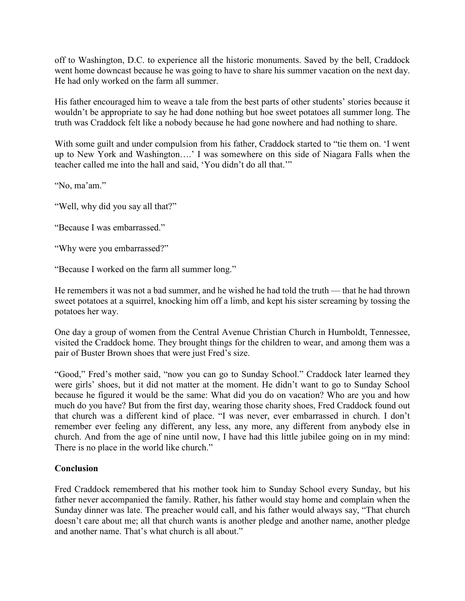off to Washington, D.C. to experience all the historic monuments. Saved by the bell, Craddock went home downcast because he was going to have to share his summer vacation on the next day. He had only worked on the farm all summer.

His father encouraged him to weave a tale from the best parts of other students' stories because it wouldn't be appropriate to say he had done nothing but hoe sweet potatoes all summer long. The truth was Craddock felt like a nobody because he had gone nowhere and had nothing to share.

With some guilt and under compulsion from his father, Craddock started to "tie them on. 'I went up to New York and Washington….' I was somewhere on this side of Niagara Falls when the teacher called me into the hall and said, 'You didn't do all that.'"

"No, ma'am."

"Well, why did you say all that?"

"Because I was embarrassed."

"Why were you embarrassed?"

"Because I worked on the farm all summer long."

He remembers it was not a bad summer, and he wished he had told the truth — that he had thrown sweet potatoes at a squirrel, knocking him off a limb, and kept his sister screaming by tossing the potatoes her way.

One day a group of women from the Central Avenue Christian Church in Humboldt, Tennessee, visited the Craddock home. They brought things for the children to wear, and among them was a pair of Buster Brown shoes that were just Fred's size.

"Good," Fred's mother said, "now you can go to Sunday School." Craddock later learned they were girls' shoes, but it did not matter at the moment. He didn't want to go to Sunday School because he figured it would be the same: What did you do on vacation? Who are you and how much do you have? But from the first day, wearing those charity shoes, Fred Craddock found out that church was a different kind of place. "I was never, ever embarrassed in church. I don't remember ever feeling any different, any less, any more, any different from anybody else in church. And from the age of nine until now, I have had this little jubilee going on in my mind: There is no place in the world like church."

#### **Conclusion**

Fred Craddock remembered that his mother took him to Sunday School every Sunday, but his father never accompanied the family. Rather, his father would stay home and complain when the Sunday dinner was late. The preacher would call, and his father would always say, "That church doesn't care about me; all that church wants is another pledge and another name, another pledge and another name. That's what church is all about."